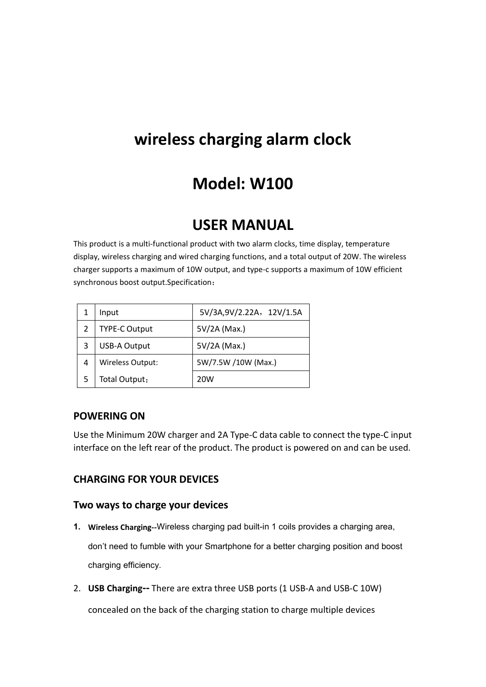# **wireless charging alarm clock**

# **Model: W100**

## **USER MANUAL**

This product is a multi-functional product with two alarm clocks, time display, temperature display, wireless charging and wired charging functions, and a total output of 20W. The wireless charger supports a maximum of 10W output, and type-c supports a maximum of 10W efficient synchronous boost output.Specification:

|   | Input                | 5V/3A,9V/2.22A, 12V/1.5A |
|---|----------------------|--------------------------|
| 2 | <b>TYPE-C Output</b> | 5V/2A (Max.)             |
| 3 | <b>USB-A Output</b>  | 5V/2A (Max.)             |
| 4 | Wireless Output:     | 5W/7.5W /10W (Max.)      |
| 5 | Total Output:        | 20 <sub>W</sub>          |

#### **POWERING ON**

Use the Minimum 20W charger and 2A Type-C data cable to connect the type-C input interface on the left rear of the product. The product is powered on and can be used.

#### **CHARGING FOR YOUR DEVICES**

#### **Two ways to charge your devices**

**1. Wireless Charging--**Wireless charging pad built-in 1 coils provides a charging area,

don't need to fumble with your Smartphone for a better charging position and boost charging efficiency.

2. **USB Charging--** There are extra three USB ports (1 USB-A and USB-C 10W)

concealed on the back of the charging station to charge multiple devices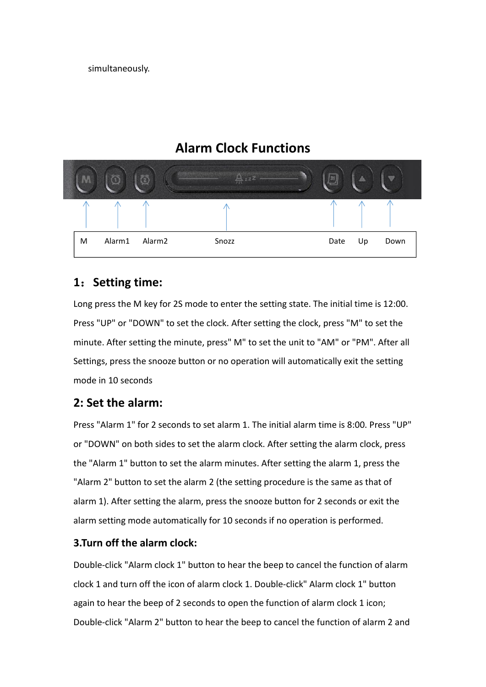simultaneously.

## **Alarm Clock Functions**



## **1**:**Setting time:**

Long press the M key for 2S mode to enter the setting state. The initial time is 12:00. Press "UP" or "DOWN" to set the clock. After setting the clock, press "M" to set the minute. After setting the minute, press" M" to set the unit to "AM" or "PM". After all Settings, press the snooze button or no operation will automatically exit the setting mode in 10 seconds

### **2: Set the alarm:**

Press "Alarm 1" for 2 seconds to set alarm 1. The initial alarm time is 8:00. Press "UP" or "DOWN" on both sides to set the alarm clock. After setting the alarm clock, press the "Alarm 1" button to set the alarm minutes. After setting the alarm 1, press the "Alarm 2" button to set the alarm 2 (the setting procedure is the same as that of alarm 1). After setting the alarm, press the snooze button for 2 seconds or exit the alarm setting mode automatically for 10 seconds if no operation is performed.

### **3.Turn off the alarm clock:**

Double-click "Alarm clock 1" button to hear the beep to cancel the function of alarm clock 1 and turn off the icon of alarm clock 1. Double-click" Alarm clock 1" button again to hear the beep of 2 seconds to open the function of alarm clock 1 icon; Double-click "Alarm 2" button to hear the beep to cancel the function of alarm 2 and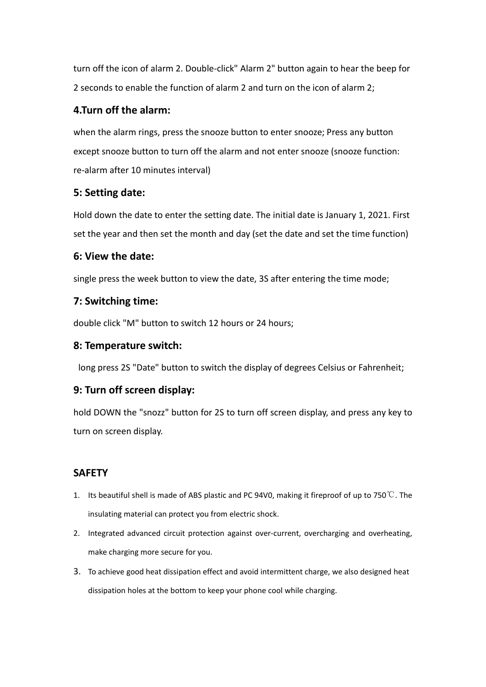turn off the icon of alarm 2. Double-click" Alarm 2" button again to hear the beep for 2 seconds to enable the function of alarm 2 and turn on the icon of alarm 2;

#### **4.Turn off the alarm:**

when the alarm rings, press the snooze button to enter snooze; Press any button except snooze button to turn off the alarm and not enter snooze (snooze function: re-alarm after 10 minutes interval)

#### **5: Setting date:**

Hold down the date to enter the setting date. The initial date is January 1, 2021. First set the year and then set the month and day (set the date and set the time function)

#### **6: View the date:**

single press the week button to view the date, 3S after entering the time mode;

#### **7: Switching time:**

double click "M" button to switch 12 hours or 24 hours;

#### **8: Temperature switch:**

long press 2S "Date" button to switch the display of degrees Celsius or Fahrenheit;

### **9: Turn off screen display:**

hold DOWN the "snozz" button for 2S to turn off screen display, and press any key to turn on screen display.

### **SAFETY**

- 1. Its beautiful shell is made of ABS plastic and PC 94V0, making it fireproof of up to 750℃. The insulating material can protect you from electric shock.
- 2. Integrated advanced circuit protection against over-current, overcharging and overheating, make charging more secure for you.
- 3. To achieve good heat dissipation effect and avoid intermittent charge, we also designed heat dissipation holes at the bottom to keep your phone cool while charging.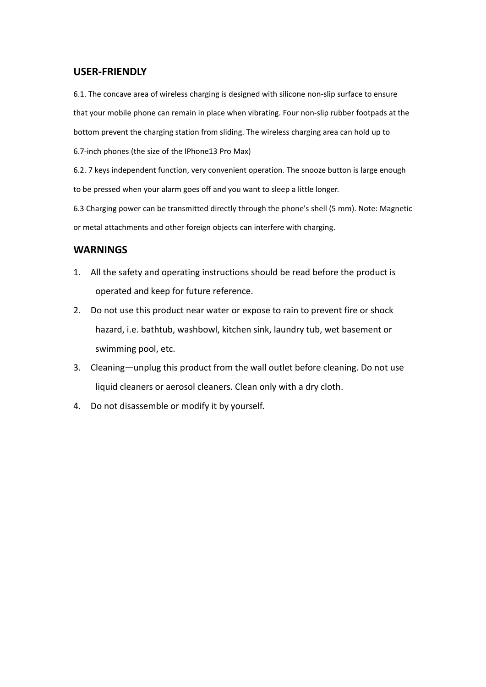#### **USER-FRIENDLY**

6.1. The concave area of wireless charging is designed with silicone non-slip surface to ensure that your mobile phone can remain in place when vibrating. Four non-slip rubber footpads at the bottom prevent the charging station from sliding. The wireless charging area can hold up to

6.7-inch phones (the size of the IPhone13 Pro Max)

6.2. 7 keys independent function, very convenient operation. The snooze button is large enough to be pressed when your alarm goes off and you want to sleep a little longer.

6.3 Charging power can be transmitted directly through the phone's shell (5 mm). Note: Magnetic or metal attachments and other foreign objects can interfere with charging.

#### **WARNINGS**

- 1. All the safety and operating instructions should be read before the product is operated and keep for future reference.
- 2. Do not use this product near water or expose to rain to prevent fire or shock hazard, i.e. bathtub, washbowl, kitchen sink, laundry tub, wet basement or swimming pool, etc.
- 3. Cleaning—unplug this product from the wall outlet before cleaning. Do not use liquid cleaners or aerosol cleaners. Clean only with a dry cloth.
- 4. Do not disassemble or modify it by yourself.